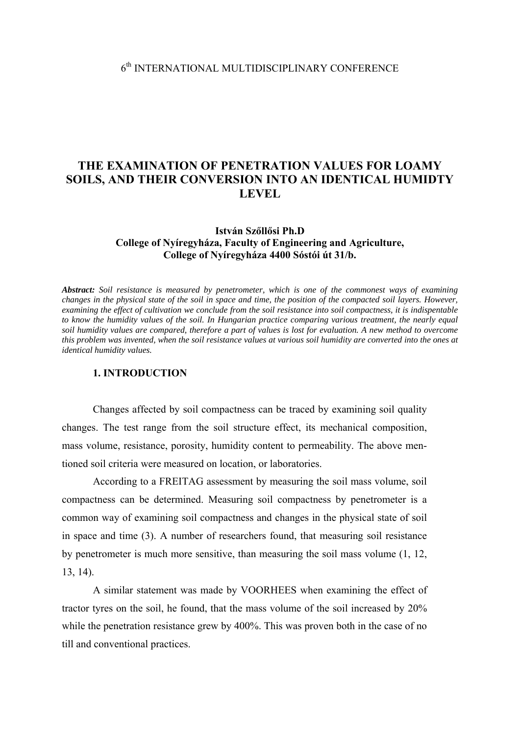# **THE EXAMINATION OF PENETRATION VALUES FOR LOAMY SOILS, AND THEIR CONVERSION INTO AN IDENTICAL HUMIDTY LEVEL**

## **István Szőllősi Ph.D College of Nyíregyháza, Faculty of Engineering and Agriculture, College of Nyíregyháza 4400 Sóstói út 31/b.**

*Abstract: Soil resistance is measured by penetrometer, which is one of the commonest ways of examining changes in the physical state of the soil in space and time, the position of the compacted soil layers. However, examining the effect of cultivation we conclude from the soil resistance into soil compactness, it is indispentable to know the humidity values of the soil. In Hungarian practice comparing various treatment, the nearly equal soil humidity values are compared, therefore a part of values is lost for evaluation. A new method to overcome this problem was invented, when the soil resistance values at various soil humidity are converted into the ones at identical humidity values.* 

## **1. INTRODUCTION**

Changes affected by soil compactness can be traced by examining soil quality changes. The test range from the soil structure effect, its mechanical composition, mass volume, resistance, porosity, humidity content to permeability. The above mentioned soil criteria were measured on location, or laboratories.

According to a FREITAG assessment by measuring the soil mass volume, soil compactness can be determined. Measuring soil compactness by penetrometer is a common way of examining soil compactness and changes in the physical state of soil in space and time (3). A number of researchers found, that measuring soil resistance by penetrometer is much more sensitive, than measuring the soil mass volume (1, 12, 13, 14).

A similar statement was made by VOORHEES when examining the effect of tractor tyres on the soil, he found, that the mass volume of the soil increased by 20% while the penetration resistance grew by 400%. This was proven both in the case of no till and conventional practices.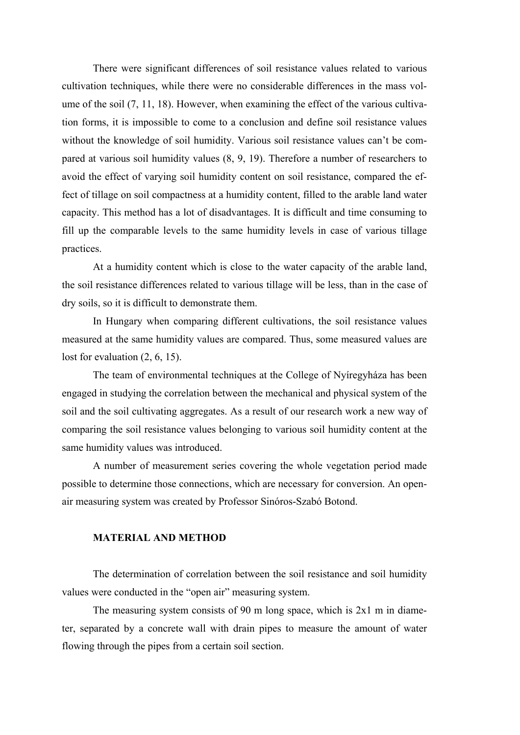There were significant differences of soil resistance values related to various cultivation techniques, while there were no considerable differences in the mass volume of the soil (7, 11, 18). However, when examining the effect of the various cultivation forms, it is impossible to come to a conclusion and define soil resistance values without the knowledge of soil humidity. Various soil resistance values can't be compared at various soil humidity values (8, 9, 19). Therefore a number of researchers to avoid the effect of varying soil humidity content on soil resistance, compared the effect of tillage on soil compactness at a humidity content, filled to the arable land water capacity. This method has a lot of disadvantages. It is difficult and time consuming to fill up the comparable levels to the same humidity levels in case of various tillage practices.

At a humidity content which is close to the water capacity of the arable land, the soil resistance differences related to various tillage will be less, than in the case of dry soils, so it is difficult to demonstrate them.

In Hungary when comparing different cultivations, the soil resistance values measured at the same humidity values are compared. Thus, some measured values are lost for evaluation  $(2, 6, 15)$ .

The team of environmental techniques at the College of Nyíregyháza has been engaged in studying the correlation between the mechanical and physical system of the soil and the soil cultivating aggregates. As a result of our research work a new way of comparing the soil resistance values belonging to various soil humidity content at the same humidity values was introduced.

A number of measurement series covering the whole vegetation period made possible to determine those connections, which are necessary for conversion. An openair measuring system was created by Professor Sinóros-Szabó Botond.

#### **MATERIAL AND METHOD**

The determination of correlation between the soil resistance and soil humidity values were conducted in the "open air" measuring system.

The measuring system consists of 90 m long space, which is 2x1 m in diameter, separated by a concrete wall with drain pipes to measure the amount of water flowing through the pipes from a certain soil section.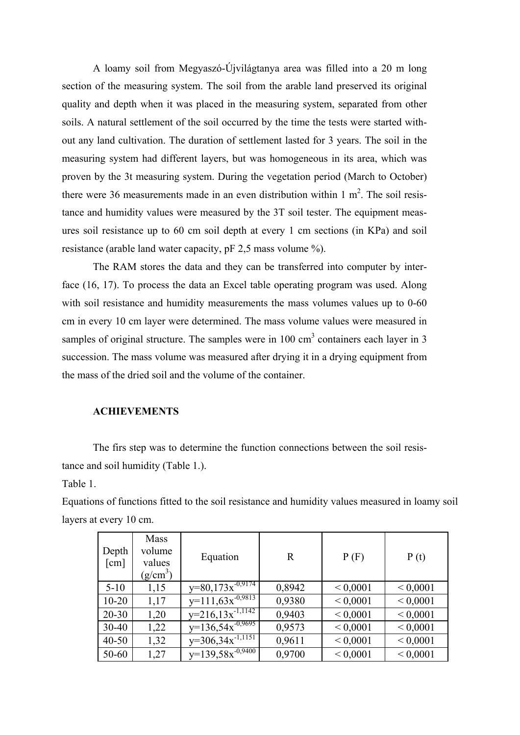A loamy soil from Megyaszó-Újvilágtanya area was filled into a 20 m long section of the measuring system. The soil from the arable land preserved its original quality and depth when it was placed in the measuring system, separated from other soils. A natural settlement of the soil occurred by the time the tests were started without any land cultivation. The duration of settlement lasted for 3 years. The soil in the measuring system had different layers, but was homogeneous in its area, which was proven by the 3t measuring system. During the vegetation period (March to October) there were 36 measurements made in an even distribution within  $1 \text{ m}^2$ . The soil resistance and humidity values were measured by the 3T soil tester. The equipment measures soil resistance up to 60 cm soil depth at every 1 cm sections (in KPa) and soil resistance (arable land water capacity, pF 2,5 mass volume %).

The RAM stores the data and they can be transferred into computer by interface (16, 17). To process the data an Excel table operating program was used. Along with soil resistance and humidity measurements the mass volumes values up to 0-60 cm in every 10 cm layer were determined. The mass volume values were measured in samples of original structure. The samples were in  $100 \text{ cm}^3$  containers each layer in 3 succession. The mass volume was measured after drying it in a drying equipment from the mass of the dried soil and the volume of the container.

#### **ACHIEVEMENTS**

The firs step was to determine the function connections between the soil resistance and soil humidity (Table 1.).

Table 1.

Equations of functions fitted to the soil resistance and humidity values measured in loamy soil layers at every 10 cm.

| Depth<br>$\lceil$ cm $\rceil$ | <b>Mass</b><br>volume<br>values<br>$(g/cm^3)$ | Equation              | $\mathbf R$ | P(F)         | P(t)         |
|-------------------------------|-----------------------------------------------|-----------------------|-------------|--------------|--------------|
| $5-10$                        | 1,15                                          | $y=80,173x^{-0.9174}$ | 0,8942      | ${}< 0,0001$ | ${}< 0,0001$ |
| $10 - 20$                     | 1,17                                          | $y=111,63x^{-0,9813}$ | 0,9380      | ${}< 0,0001$ | ${}< 0,0001$ |
| $20 - 30$                     | 1,20                                          | $y=216,13x^{-1,1142}$ | 0,9403      | ${}< 0,0001$ | ${}< 0,0001$ |
| $30 - 40$                     | 1,22                                          | $y=136,54x^{-0,9695}$ | 0,9573      | ${}< 0,0001$ | ${}< 0,0001$ |
| $40 - 50$                     | 1,32                                          | $y=306,34x^{-1,1151}$ | 0,9611      | ${}< 0,0001$ | ${}< 0,0001$ |
| 50-60                         | 1,27                                          | $y=139.58x^{-0.9400}$ | 0,9700      | ${}< 0,0001$ | ${}< 0,0001$ |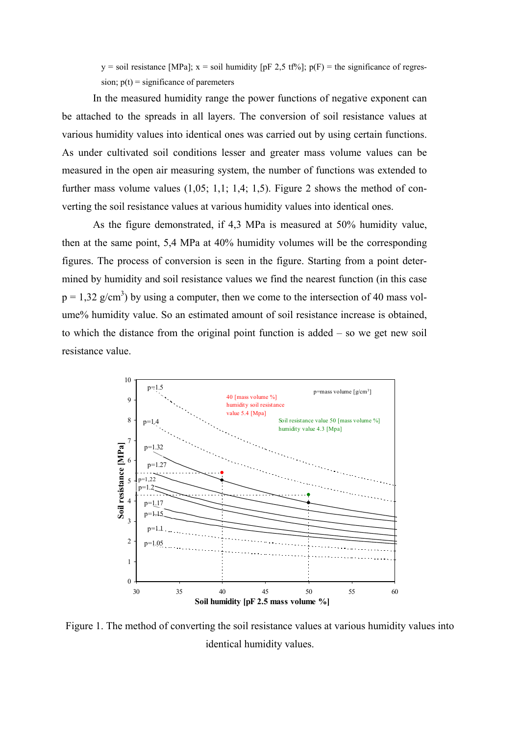$y =$ soil resistance [MPa];  $x =$ soil humidity [pF 2,5 tf<sup>%</sup>]; p(F) = the significance of regression;  $p(t)$  = significance of paremeters

In the measured humidity range the power functions of negative exponent can be attached to the spreads in all layers. The conversion of soil resistance values at various humidity values into identical ones was carried out by using certain functions. As under cultivated soil conditions lesser and greater mass volume values can be measured in the open air measuring system, the number of functions was extended to further mass volume values  $(1,05; 1,1; 1,4; 1,5)$ . Figure 2 shows the method of converting the soil resistance values at various humidity values into identical ones.

As the figure demonstrated, if 4,3 MPa is measured at 50% humidity value, then at the same point, 5,4 MPa at 40% humidity volumes will be the corresponding figures. The process of conversion is seen in the figure. Starting from a point determined by humidity and soil resistance values we find the nearest function (in this case  $p = 1,32$  g/cm<sup>3</sup>) by using a computer, then we come to the intersection of 40 mass volume% humidity value. So an estimated amount of soil resistance increase is obtained, to which the distance from the original point function is added – so we get new soil resistance value.



Figure 1. The method of converting the soil resistance values at various humidity values into identical humidity values.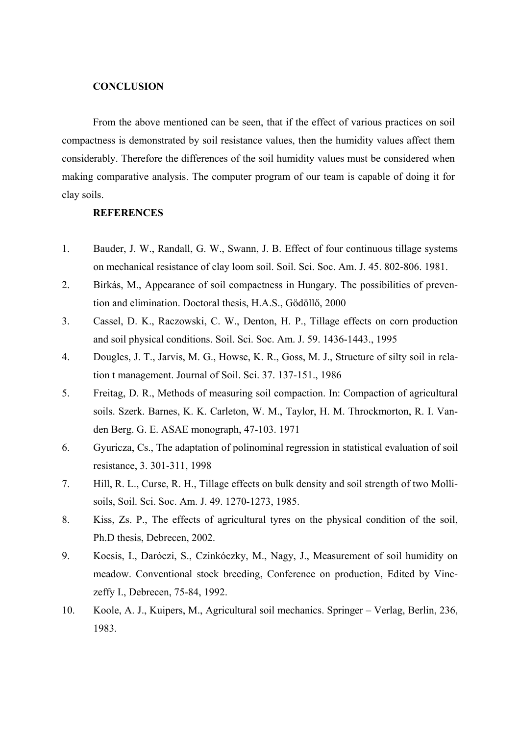### **CONCLUSION**

From the above mentioned can be seen, that if the effect of various practices on soil compactness is demonstrated by soil resistance values, then the humidity values affect them considerably. Therefore the differences of the soil humidity values must be considered when making comparative analysis. The computer program of our team is capable of doing it for clay soils.

## **REFERENCES**

- 1. Bauder, J. W., Randall, G. W., Swann, J. B. Effect of four continuous tillage systems on mechanical resistance of clay loom soil. Soil. Sci. Soc. Am. J. 45. 802-806. 1981.
- 2. Birkás, M., Appearance of soil compactness in Hungary. The possibilities of prevention and elimination. Doctoral thesis, H.A.S., Gödöllő, 2000
- 3. Cassel, D. K., Raczowski, C. W., Denton, H. P., Tillage effects on corn production and soil physical conditions. Soil. Sci. Soc. Am. J. 59. 1436-1443., 1995
- 4. Dougles, J. T., Jarvis, M. G., Howse, K. R., Goss, M. J., Structure of silty soil in relation t management. Journal of Soil. Sci. 37. 137-151., 1986
- 5. Freitag, D. R., Methods of measuring soil compaction. In: Compaction of agricultural soils. Szerk. Barnes, K. K. Carleton, W. M., Taylor, H. M. Throckmorton, R. I. Vanden Berg. G. E. ASAE monograph, 47-103. 1971
- 6. Gyuricza, Cs., The adaptation of polinominal regression in statistical evaluation of soil resistance, 3. 301-311, 1998
- 7. Hill, R. L., Curse, R. H., Tillage effects on bulk density and soil strength of two Mollisoils, Soil. Sci. Soc. Am. J. 49. 1270-1273, 1985.
- 8. Kiss, Zs. P., The effects of agricultural tyres on the physical condition of the soil, Ph.D thesis, Debrecen, 2002.
- 9. Kocsis, I., Daróczi, S., Czinkóczky, M., Nagy, J., Measurement of soil humidity on meadow. Conventional stock breeding, Conference on production, Edited by Vinczeffy I., Debrecen, 75-84, 1992.
- 10. Koole, A. J., Kuipers, M., Agricultural soil mechanics. Springer Verlag, Berlin, 236, 1983.